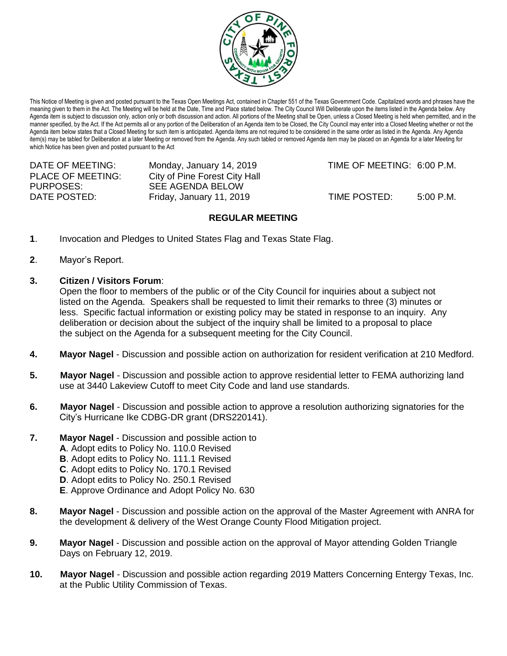

This Notice of Meeting is given and posted pursuant to the Texas Open Meetings Act, contained in Chapter 551 of the Texas Government Code. Capitalized words and phrases have the meaning given to them in the Act. The Meeting will be held at the Date, Time and Place stated below. The City Council Will Deliberate upon the items listed in the Agenda below. Any Agenda item is subject to discussion only, action only or both discussion and action. All portions of the Meeting shall be Open, unless a Closed Meeting is held when permitted, and in the manner specified, by the Act. If the Act permits all or any portion of the Deliberation of an Agenda item to be Closed, the City Council may enter into a Closed Meeting whether or not the Agenda item below states that a Closed Meeting for such item is anticipated. Agenda items are not required to be considered in the same order as listed in the Agenda. Any Agenda item(s) may be tabled for Deliberation at a later Meeting or removed from the Agenda. Any such tabled or removed Agenda item may be placed on an Agenda for a later Meeting for which Notice has been given and posted pursuant to the Act

| DATE OF MEETING:         | Monday, January 14, 2019      | TIME OF MEETING: 6:00 P.M. |           |
|--------------------------|-------------------------------|----------------------------|-----------|
| <b>PLACE OF MEETING:</b> | City of Pine Forest City Hall |                            |           |
| PURPOSES:                | SEE AGENDA BELOW              |                            |           |
| DATE POSTED:             | Friday, January 11, 2019      | TIME POSTED:               | 5:00 P.M. |

## **REGULAR MEETING**

- **1**. Invocation and Pledges to United States Flag and Texas State Flag.
- **2**. Mayor's Report.
- **3. Citizen / Visitors Forum**:

Open the floor to members of the public or of the City Council for inquiries about a subject not listed on the Agenda. Speakers shall be requested to limit their remarks to three (3) minutes or less. Specific factual information or existing policy may be stated in response to an inquiry. Any deliberation or decision about the subject of the inquiry shall be limited to a proposal to place the subject on the Agenda for a subsequent meeting for the City Council.

- **4. Mayor Nagel** Discussion and possible action on authorization for resident verification at 210 Medford.
- **5. Mayor Nagel** Discussion and possible action to approve residential letter to FEMA authorizing land use at 3440 Lakeview Cutoff to meet City Code and land use standards.
- **6. Mayor Nagel** Discussion and possible action to approve a resolution authorizing signatories for the City's Hurricane Ike CDBG-DR grant (DRS220141).
- **7. Mayor Nagel** Discussion and possible action to
	- **A**. Adopt edits to Policy No. 110.0 Revised
	- **B**. Adopt edits to Policy No. 111.1 Revised
	- **C**. Adopt edits to Policy No. 170.1 Revised
	- **D**. Adopt edits to Policy No. 250.1 Revised
	- **E**. Approve Ordinance and Adopt Policy No. 630
- **8. Mayor Nagel** Discussion and possible action on the approval of the Master Agreement with ANRA for the development & delivery of the West Orange County Flood Mitigation project.
- **9. Mayor Nagel** Discussion and possible action on the approval of Mayor attending Golden Triangle Days on February 12, 2019.
- **10. Mayor Nagel** Discussion and possible action regarding 2019 Matters Concerning Entergy Texas, Inc. at the Public Utility Commission of Texas.